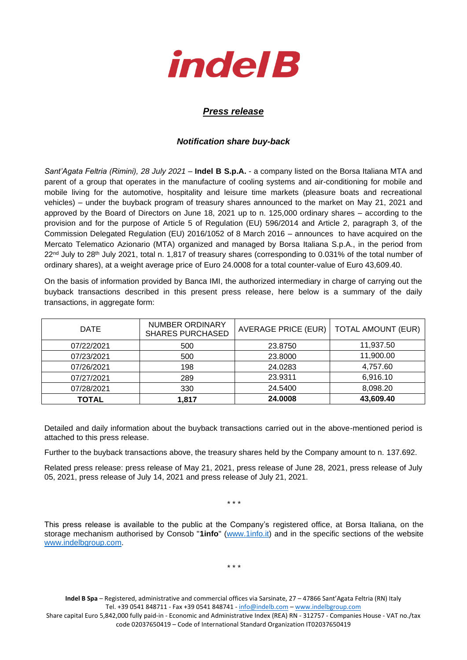

## *Press release*

## *Notification share buy-back*

*Sant'Agata Feltria (Rimini), 28 July 2021* – **Indel B S.p.A.** - a company listed on the Borsa Italiana MTA and parent of a group that operates in the manufacture of cooling systems and air-conditioning for mobile and mobile living for the automotive, hospitality and leisure time markets (pleasure boats and recreational vehicles) – under the buyback program of treasury shares announced to the market on May 21, 2021 and approved by the Board of Directors on June 18, 2021 up to n. 125,000 ordinary shares – according to the provision and for the purpose of Article 5 of Regulation (EU) 596/2014 and Article 2, paragraph 3, of the Commission Delegated Regulation (EU) 2016/1052 of 8 March 2016 – announces to have acquired on the Mercato Telematico Azionario (MTA) organized and managed by Borsa Italiana S.p.A., in the period from 22<sup>nd</sup> July to 28<sup>th</sup> July 2021, total n. 1,817 of treasury shares (corresponding to 0.031% of the total number of ordinary shares), at a weight average price of Euro 24.0008 for a total counter-value of Euro 43,609.40.

On the basis of information provided by Banca IMI, the authorized intermediary in charge of carrying out the buyback transactions described in this present press release, here below is a summary of the daily transactions, in aggregate form:

| <b>DATE</b>  | <b>NUMBER ORDINARY</b><br><b>SHARES PURCHASED</b> | <b>AVERAGE PRICE (EUR)</b> | <b>TOTAL AMOUNT (EUR)</b> |
|--------------|---------------------------------------------------|----------------------------|---------------------------|
| 07/22/2021   | 500                                               | 23.8750                    | 11,937.50                 |
| 07/23/2021   | 500                                               | 23.8000                    | 11,900.00                 |
| 07/26/2021   | 198                                               | 24.0283                    | 4,757.60                  |
| 07/27/2021   | 289                                               | 23.9311                    | 6,916.10                  |
| 07/28/2021   | 330                                               | 24.5400                    | 8,098.20                  |
| <b>TOTAL</b> | 1,817                                             | 24.0008                    | 43,609.40                 |

Detailed and daily information about the buyback transactions carried out in the above-mentioned period is attached to this press release.

Further to the buyback transactions above, the treasury shares held by the Company amount to n. 137.692.

Related press release: press release of May 21, 2021, press release of June 28, 2021, press release of July 05, 2021, press release of July 14, 2021 and press release of July 21, 2021.

\* \* \*

This press release is available to the public at the Company's registered office, at Borsa Italiana, on the storage mechanism authorised by Consob "**1info**" [\(www.1info.it\)](file:///C:/Users/ddelietovollaro/AppData/Local/Microsoft/Windows/INetCache/Content.Outlook/T87B94UR/www.1info.it) and in the specific sections of the website [www.indelbgroup.com.](http://www.indelbgroup.com/)

\* \* \*

**Indel B Spa** – Registered, administrative and commercial offices via Sarsinate, 27 – 47866 Sant'Agata Feltria (RN) Italy Tel. +39 0541 848711 - Fax +39 0541 848741 - [info@indelb.com](mailto:info@indelb.com) – [www.indelbgroup.com](http://www.indelbgroup.com/)

Share capital Euro 5,842,000 fully paid-in - Economic and Administrative Index (REA) RN - 312757 - Companies House - VAT no./tax code 02037650419 – Code of International Standard Organization IT02037650419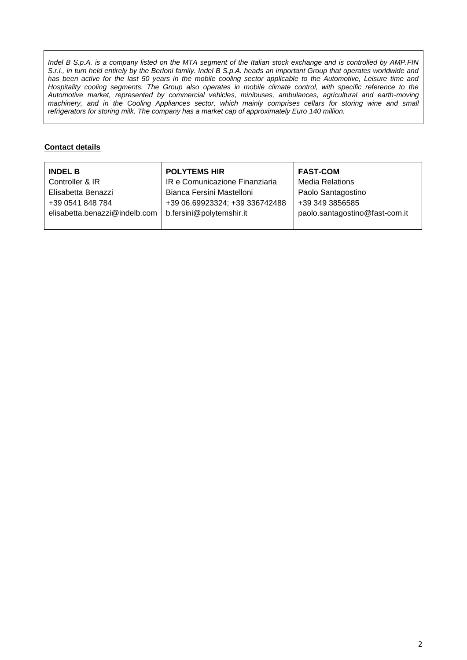*Indel B S.p.A. is a company listed on the MTA segment of the Italian stock exchange and is controlled by AMP.FIN S.r.l., in turn held entirely by the Berloni family. Indel B S.p.A. heads an important Group that operates worldwide and* has been active for the last 50 years in the mobile cooling sector applicable to the Automotive, Leisure time and Hospitality cooling segments. The Group also operates in mobile climate control, with specific reference to the *Automotive market, represented by commercial vehicles, minibuses, ambulances, agricultural and earth-moving machinery, and in the Cooling Appliances sector, which mainly comprises cellars for storing wine and small refrigerators for storing milk. The company has a market cap of approximately Euro 140 million.*

## **Contact details**

| <b>INDEL B</b>                | <b>POLYTEMS HIR</b>            | <b>FAST-COM</b>                |
|-------------------------------|--------------------------------|--------------------------------|
| Controller & IR               | IR e Comunicazione Finanziaria | <b>Media Relations</b>         |
| Elisabetta Benazzi            | Bianca Fersini Mastelloni      | Paolo Santagostino             |
| +39 0541 848 784              | +39 06.69923324; +39 336742488 | +39 349 3856585                |
| elisabetta.benazzi@indelb.com | b.fersini@polytemshir.it       | paolo.santagostino@fast-com.it |
|                               |                                |                                |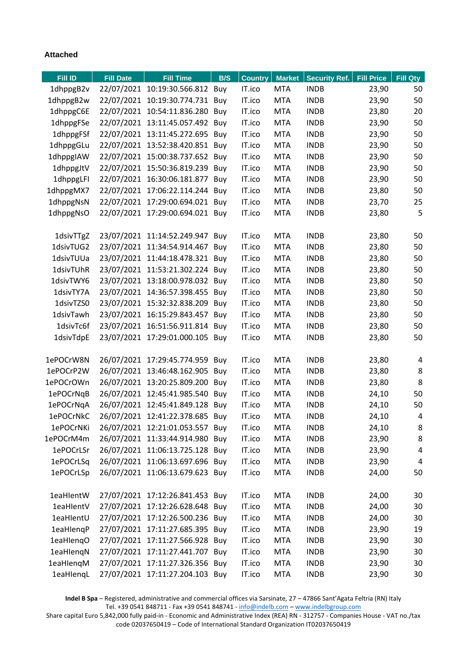## **Attached**

1

| <b>Fill ID</b> | <b>Fill Date</b> | <b>Fill Time</b>                | B/S | <b>Country</b> | <b>Market</b> | <b>Security Ref.</b> | <b>Fill Price</b> | <b>Fill Qty</b> |
|----------------|------------------|---------------------------------|-----|----------------|---------------|----------------------|-------------------|-----------------|
| 1dhppgB2v      |                  | 22/07/2021 10:19:30.566.812 Buy |     | IT.ico         | <b>MTA</b>    | <b>INDB</b>          | 23,90             | 50              |
| 1dhppgB2w      | 22/07/2021       | 10:19:30.774.731 Buy            |     | IT.ico         | <b>MTA</b>    | <b>INDB</b>          | 23,90             | 50              |
| 1dhppgC6E      | 22/07/2021       | 10:54:11.836.280                | Buy | IT.ico         | <b>MTA</b>    | <b>INDB</b>          | 23,80             | 20              |
| 1dhppgFSe      |                  | 22/07/2021 13:11:45.057.492 Buy |     | IT.ico         | <b>MTA</b>    | <b>INDB</b>          | 23,90             | 50              |
| 1dhppgFSf      |                  | 22/07/2021 13:11:45.272.695 Buy |     | IT.ico         | <b>MTA</b>    | <b>INDB</b>          | 23,90             | 50              |
| 1dhppgGLu      |                  | 22/07/2021 13:52:38.420.851 Buy |     | IT.ico         | <b>MTA</b>    | <b>INDB</b>          | 23,90             | 50              |
| 1dhppgIAW      | 22/07/2021       | 15:00:38.737.652 Buy            |     | IT.ico         | <b>MTA</b>    | <b>INDB</b>          | 23,90             | 50              |
| 1dhppgJtV      | 22/07/2021       | 15:50:36.819.239 Buy            |     | IT.ico         | <b>MTA</b>    | <b>INDB</b>          | 23,90             | 50              |
| 1dhppgLFI      | 22/07/2021       | 16:30:06.181.877 Buy            |     | IT.ico         | <b>MTA</b>    | <b>INDB</b>          | 23,90             | 50              |
| 1dhppgMX7      | 22/07/2021       | 17:06:22.114.244 Buy            |     | IT.ico         | <b>MTA</b>    | <b>INDB</b>          | 23,80             | 50              |
| 1dhppgNsN      |                  | 22/07/2021 17:29:00.694.021 Buy |     | IT.ico         | <b>MTA</b>    | <b>INDB</b>          | 23,70             | 25              |
| 1dhppgNsO      | 22/07/2021       | 17:29:00.694.021 Buy            |     | IT.ico         | <b>MTA</b>    | <b>INDB</b>          | 23,80             | 5               |
| 1dsivTTgZ      |                  | 23/07/2021 11:14:52.249.947 Buy |     | IT.ico         | <b>MTA</b>    | <b>INDB</b>          | 23,80             | 50              |
| 1dsivTUG2      | 23/07/2021       | 11:34:54.914.467 Buv            |     | IT.ico         | <b>MTA</b>    | <b>INDB</b>          | 23,80             | 50              |
| 1dsivTUUa      |                  | 23/07/2021 11:44:18.478.321 Buy |     | IT.ico         | <b>MTA</b>    | <b>INDB</b>          | 23,80             | 50              |
| 1dsivTUhR      | 23/07/2021       | 11:53:21.302.224 Buy            |     | IT.ico         | <b>MTA</b>    | <b>INDB</b>          | 23,80             | 50              |
| 1dsivTWY6      |                  | 23/07/2021 13:18:00.978.032 Buy |     | IT.ico         | <b>MTA</b>    | <b>INDB</b>          | 23,80             | 50              |
| 1dsivTY7A      |                  | 23/07/2021 14:36:57.398.455 Buy |     | IT.ico         | <b>MTA</b>    | <b>INDB</b>          | 23,80             | 50              |
| 1dsivTZS0      |                  | 23/07/2021 15:32:32.838.209     | Buy | IT.ico         | <b>MTA</b>    | <b>INDB</b>          | 23,80             | 50              |
| 1dsivTawh      | 23/07/2021       | 16:15:29.843.457 Buy            |     | IT.ico         | <b>MTA</b>    | <b>INDB</b>          | 23,80             | 50              |
| 1dsivTc6f      | 23/07/2021       | 16:51:56.911.814 Buy            |     | IT.ico         | <b>MTA</b>    | <b>INDB</b>          | 23,80             | 50              |
| 1dsivTdpE      |                  | 23/07/2021 17:29:01.000.105 Buy |     | IT.ico         | <b>MTA</b>    | <b>INDB</b>          | 23,80             | 50              |
|                |                  |                                 |     |                |               |                      |                   |                 |
| 1ePOCrW8N      |                  | 26/07/2021 17:29:45.774.959 Buy |     | IT.ico         | <b>MTA</b>    | <b>INDB</b>          | 23,80             | 4               |
| 1ePOCrP2W      | 26/07/2021       | 13:46:48.162.905                | Buy | IT.ico         | <b>MTA</b>    | <b>INDB</b>          | 23,80             | 8               |
| 1ePOCrOWn      | 26/07/2021       | 13:20:25.809.200                | Buy | IT.ico         | <b>MTA</b>    | <b>INDB</b>          | 23,80             | 8               |
| 1ePOCrNqB      | 26/07/2021       | 12:45:41.985.540                | Buy | IT.ico         | <b>MTA</b>    | <b>INDB</b>          | 24,10             | 50              |
| 1ePOCrNqA      | 26/07/2021       | 12:45:41.849.128                | Buy | IT.ico         | <b>MTA</b>    | <b>INDB</b>          | 24,10             | 50              |
| 1ePOCrNkC      |                  | 26/07/2021 12:41:22.378.685     | Buy | IT.ico         | <b>MTA</b>    | <b>INDB</b>          | 24,10             | 4               |
| 1ePOCrNKi      |                  | 26/07/2021 12:21:01.053.557 Buy |     | IT.ico         | <b>MTA</b>    | <b>INDB</b>          | 24,10             | 8               |
| 1ePOCrM4m      |                  | 26/07/2021 11:33:44.914.980 Buy |     | IT.ico         | <b>MTA</b>    | <b>INDB</b>          | 23,90             | 8               |
| 1ePOCrLSr      |                  | 26/07/2021 11:06:13.725.128 Buy |     | IT.ico         | <b>MTA</b>    | <b>INDB</b>          | 23,90             | 4               |
| 1ePOCrLSq      |                  | 26/07/2021 11:06:13.697.696 Buy |     | IT.ico         | <b>MTA</b>    | <b>INDB</b>          | 23,90             | 4               |
| 1ePOCrLSp      |                  | 26/07/2021 11:06:13.679.623 Buy |     | IT.ico         | <b>MTA</b>    | <b>INDB</b>          | 24,00             | 50              |
| 1eaHlentW      |                  | 27/07/2021 17:12:26.841.453 Buy |     | IT.ico         | <b>MTA</b>    | <b>INDB</b>          | 24,00             | 30              |
| 1eaHlentV      |                  | 27/07/2021 17:12:26.628.648 Buy |     | IT.ico         | <b>MTA</b>    | <b>INDB</b>          | 24,00             | 30              |
| 1eaHlentU      |                  | 27/07/2021 17:12:26.500.236 Buy |     | IT.ico         | <b>MTA</b>    | <b>INDB</b>          | 24,00             | 30              |
| 1eaHlenqP      |                  | 27/07/2021 17:11:27.685.395 Buy |     | IT.ico         | <b>MTA</b>    | <b>INDB</b>          | 23,90             | 19              |
| 1eaHlenqO      |                  | 27/07/2021 17:11:27.566.928 Buy |     | IT.ico         | <b>MTA</b>    | <b>INDB</b>          | 23,90             | 30              |
| 1eaHlenqN      |                  | 27/07/2021 17:11:27.441.707 Buy |     | IT.ico         | <b>MTA</b>    | <b>INDB</b>          | 23,90             | 30              |
| 1eaHlengM      |                  | 27/07/2021 17:11:27.326.356 Buy |     | IT.ico         | <b>MTA</b>    | <b>INDB</b>          | 23,90             | 30              |
| 1eaHlenqL      |                  | 27/07/2021 17:11:27.204.103 Buy |     | IT.ico         | <b>MTA</b>    | <b>INDB</b>          | 23,90             | 30              |

**Indel B Spa** – Registered, administrative and commercial offices via Sarsinate, 27 – 47866 Sant'Agata Feltria (RN) Italy Tel. +39 0541 848711 - Fax +39 0541 848741 - [info@indelb.com](mailto:info@indelb.com) – [www.indelbgroup.com](http://www.indelbgroup.com/)

Share capital Euro 5,842,000 fully paid-in - Economic and Administrative Index (REA) RN - 312757 - Companies House - VAT no./tax code 02037650419 – Code of International Standard Organization IT02037650419